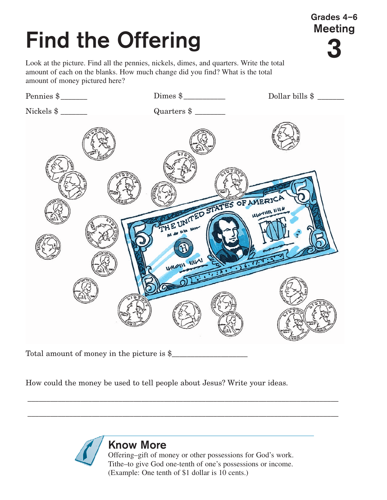## **Find the Offering**

Look at the picture. Find all the pennies, nickels, dimes, and quarters. Write the total amount of each on the blanks. How much change did you find? What is the total amount of money pictured here?

**Grades 4–6 Meeting**

**3**



Total amount of money in the picture is \$

How could the money be used to tell people about Jesus? Write your ideas.



\_\_\_\_\_\_\_\_\_\_\_\_\_\_\_\_\_\_\_\_\_\_\_\_\_\_\_\_\_\_\_\_\_\_\_\_\_\_\_\_\_\_\_\_\_\_\_\_\_\_\_\_\_\_\_\_\_\_\_\_\_\_\_\_\_\_\_\_\_\_\_\_\_\_\_\_\_\_\_\_\_\_

\_\_\_\_\_\_\_\_\_\_\_\_\_\_\_\_\_\_\_\_\_\_\_\_\_\_\_\_\_\_\_\_\_\_\_\_\_\_\_\_\_\_\_\_\_\_\_\_\_\_\_\_\_\_\_\_\_\_\_\_\_\_\_\_\_\_\_\_\_\_\_\_\_\_\_\_\_\_\_\_\_\_